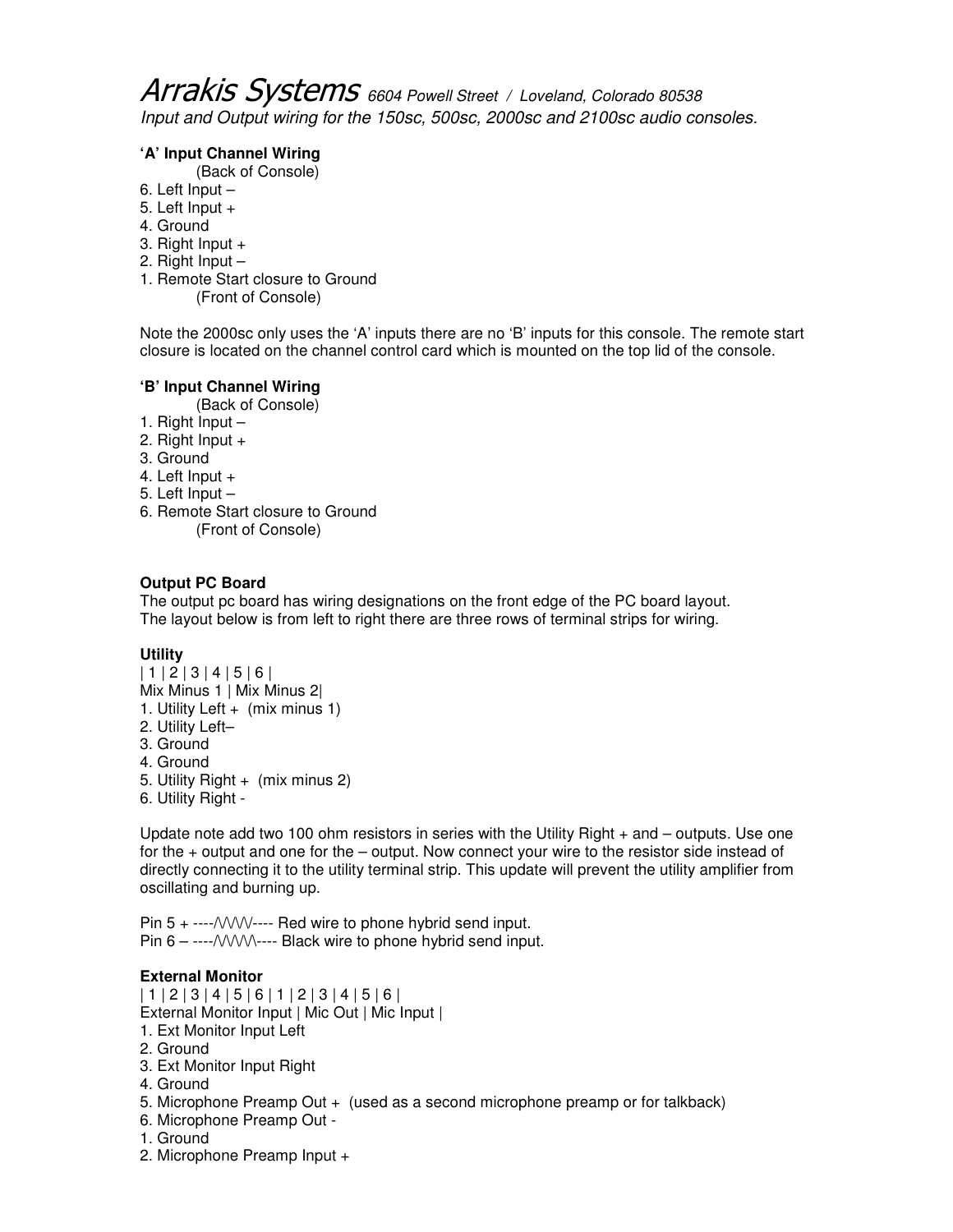# Arrakis Systems 6604 Powell Street / Loveland, Colorado 80538 Input and Output wiring for the 150sc, 500sc, 2000sc and 2100sc audio consoles.

# **'A' Input Channel Wiring**

- (Back of Console)
- 6. Left Input –
- 5. Left Input +
- 4. Ground
- 3. Right Input +
- 2. Right Input –
- 1. Remote Start closure to Ground (Front of Console)

Note the 2000sc only uses the 'A' inputs there are no 'B' inputs for this console. The remote start closure is located on the channel control card which is mounted on the top lid of the console.

## **'B' Input Channel Wiring**

- (Back of Console)
- 1. Right  $Input -$
- 2. Right Input +
- 3. Ground
- 4. Left Input +
- 5. Left Input –
- 6. Remote Start closure to Ground
	- (Front of Console)

# **Output PC Board**

The output pc board has wiring designations on the front edge of the PC board layout. The layout below is from left to right there are three rows of terminal strips for wiring.

## **Utility**

- | 1 | 2 | 3 | 4 | 5 | 6 | Mix Minus 1 | Mix Minus 2| 1. Utility Left + (mix minus 1) 2. Utility Left– 3. Ground 4. Ground 5. Utility Right + (mix minus 2)
- 6. Utility Right -

Update note add two 100 ohm resistors in series with the Utility Right + and – outputs. Use one for the + output and one for the – output. Now connect your wire to the resistor side instead of directly connecting it to the utility terminal strip. This update will prevent the utility amplifier from oscillating and burning up.

Pin  $5 + \cdots$  / W/ $\cdots$  Red wire to phone hybrid send input. Pin  $6 - \frac{\cdot}{\cdot}$  Pin 6 –  $\cdot$  --- $\cdot$   $\land$   $\lor$   $\lor$   $\cdot$   $\cdot$  - Black wire to phone hybrid send input.

## **External Monitor**

| 1 | 2 | 3 | 4 | 5 | 6 | 1 | 2 | 3 | 4 | 5 | 6 | External Monitor Input | Mic Out | Mic Input | 1. Ext Monitor Input Left 2. Ground 3. Ext Monitor Input Right 4. Ground 5. Microphone Preamp Out + (used as a second microphone preamp or for talkback) 6. Microphone Preamp Out - 1. Ground

2. Microphone Preamp Input +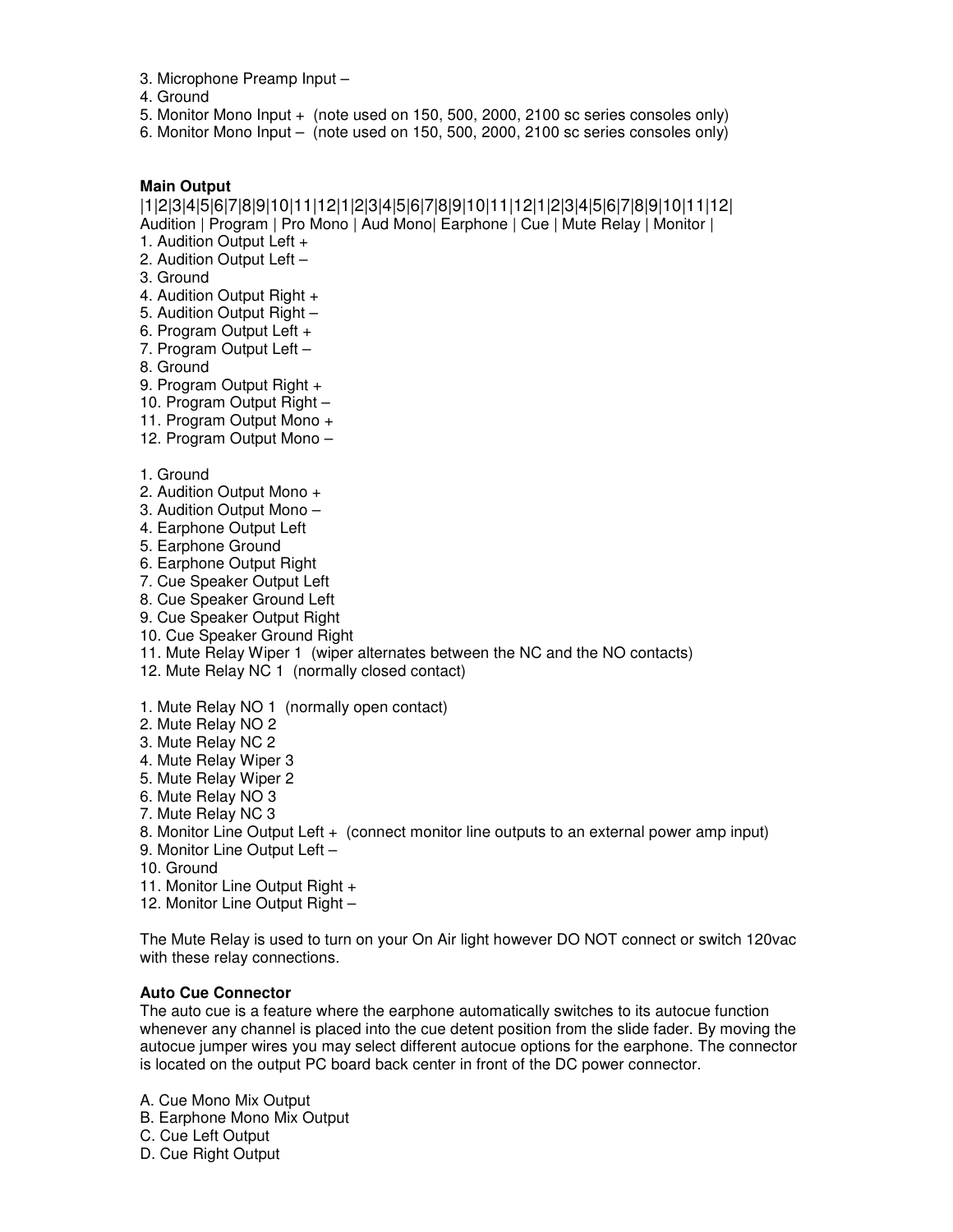- 3. Microphone Preamp Input –
- 4. Ground
- 5. Monitor Mono Input + (note used on 150, 500, 2000, 2100 sc series consoles only)
- 6. Monitor Mono Input (note used on 150, 500, 2000, 2100 sc series consoles only)

#### **Main Output**

|1|2|3|4|5|6|7|8|9|10|11|12|1|2|3|4|5|6|7|8|9|10|11|12|1|2|3|4|5|6|7|8|9|10|11|12| Audition | Program | Pro Mono | Aud Mono| Earphone | Cue | Mute Relay | Monitor |

1. Audition Output Left +

- 2. Audition Output Left –
- 3. Ground
- 4. Audition Output Right +
- 5. Audition Output Right –
- 6. Program Output Left +
- 7. Program Output Left –
- 8. Ground
- 9. Program Output Right +
- 10. Program Output Right –
- 11. Program Output Mono +
- 12. Program Output Mono –
- 1. Ground
- 2. Audition Output Mono +
- 3. Audition Output Mono –
- 4. Earphone Output Left
- 5. Earphone Ground
- 6. Earphone Output Right
- 7. Cue Speaker Output Left
- 8. Cue Speaker Ground Left
- 9. Cue Speaker Output Right
- 10. Cue Speaker Ground Right
- 11. Mute Relay Wiper 1 (wiper alternates between the NC and the NO contacts)
- 12. Mute Relay NC 1 (normally closed contact)
- 1. Mute Relay NO 1 (normally open contact)
- 2. Mute Relay NO 2
- 3. Mute Relay NC 2
- 4. Mute Relay Wiper 3
- 5. Mute Relay Wiper 2
- 6. Mute Relay NO 3
- 7. Mute Relay NC 3
- 8. Monitor Line Output Left + (connect monitor line outputs to an external power amp input)
- 9. Monitor Line Output Left –
- 10. Ground
- 11. Monitor Line Output Right +
- 12. Monitor Line Output Right –

The Mute Relay is used to turn on your On Air light however DO NOT connect or switch 120vac with these relay connections.

#### **Auto Cue Connector**

The auto cue is a feature where the earphone automatically switches to its autocue function whenever any channel is placed into the cue detent position from the slide fader. By moving the autocue jumper wires you may select different autocue options for the earphone. The connector is located on the output PC board back center in front of the DC power connector.

- A. Cue Mono Mix Output
- B. Earphone Mono Mix Output
- C. Cue Left Output
- D. Cue Right Output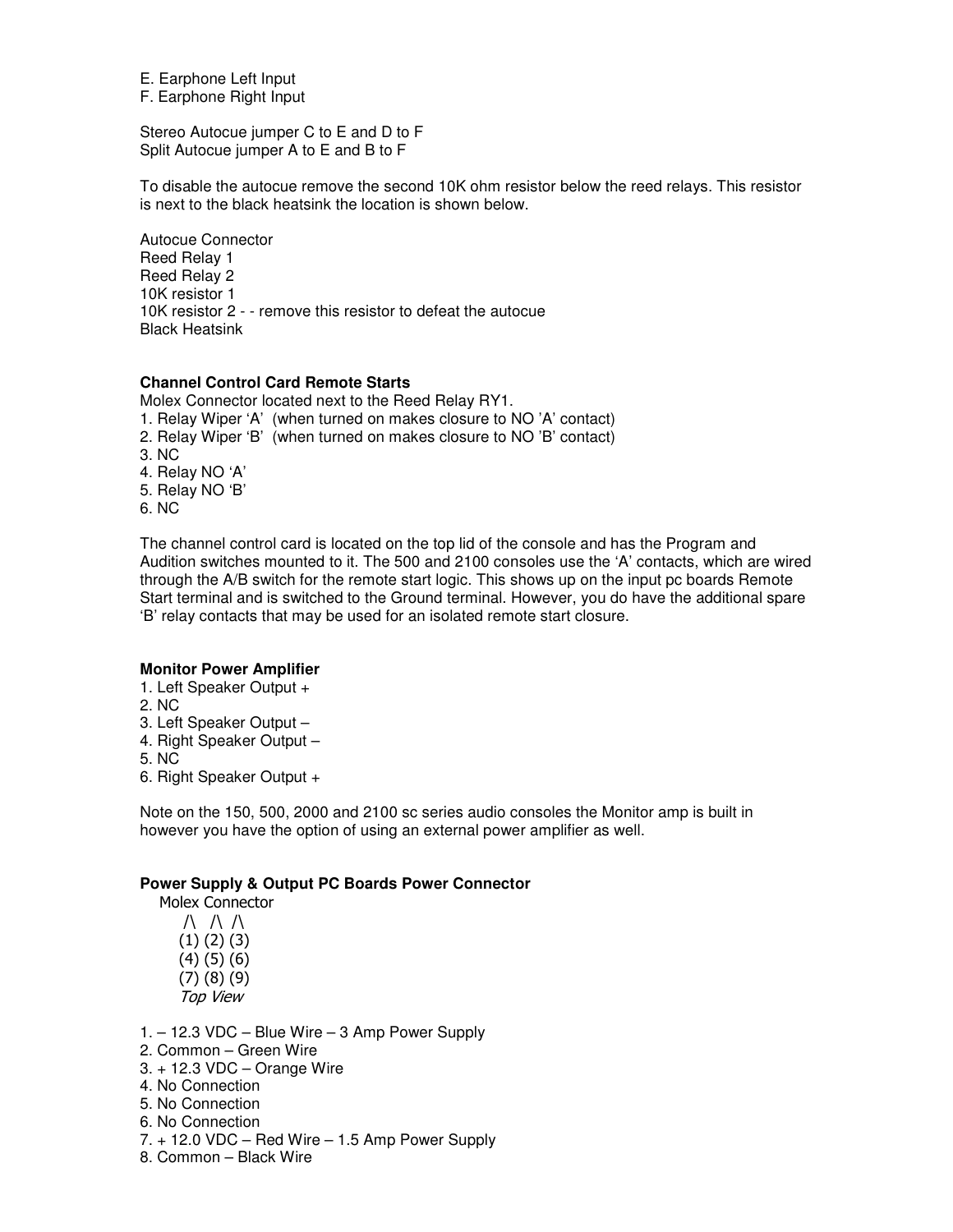E. Earphone Left Input

F. Earphone Right Input

Stereo Autocue jumper C to E and D to F Split Autocue jumper A to E and B to F

To disable the autocue remove the second 10K ohm resistor below the reed relays. This resistor is next to the black heatsink the location is shown below.

Autocue Connector Reed Relay 1 Reed Relay 2 10K resistor 1 10K resistor 2 - - remove this resistor to defeat the autocue Black Heatsink

## **Channel Control Card Remote Starts**

Molex Connector located next to the Reed Relay RY1. 1. Relay Wiper 'A' (when turned on makes closure to NO 'A' contact) 2. Relay Wiper 'B' (when turned on makes closure to NO 'B' contact) 3. NC 4. Relay NO 'A' 5. Relay NO 'B' 6. NC

The channel control card is located on the top lid of the console and has the Program and Audition switches mounted to it. The 500 and 2100 consoles use the 'A' contacts, which are wired through the A/B switch for the remote start logic. This shows up on the input pc boards Remote Start terminal and is switched to the Ground terminal. However, you do have the additional spare 'B' relay contacts that may be used for an isolated remote start closure.

#### **Monitor Power Amplifier**

- 1. Left Speaker Output +
- 2. NC
- 3. Left Speaker Output –
- 4. Right Speaker Output –
- 5. NC
- 6. Right Speaker Output +

Note on the 150, 500, 2000 and 2100 sc series audio consoles the Monitor amp is built in however you have the option of using an external power amplifier as well.

#### **Power Supply & Output PC Boards Power Connector**

Molex Connector

 $\wedge$   $\wedge$   $\wedge$  (1) (2) (3) (4) (5) (6) (7) (8) (9) Top View

1. – 12.3 VDC – Blue Wire – 3 Amp Power Supply

- 2. Common Green Wire
- 3. + 12.3 VDC Orange Wire
- 4. No Connection
- 5. No Connection
- 6. No Connection
- 7. + 12.0 VDC Red Wire 1.5 Amp Power Supply
- 8. Common Black Wire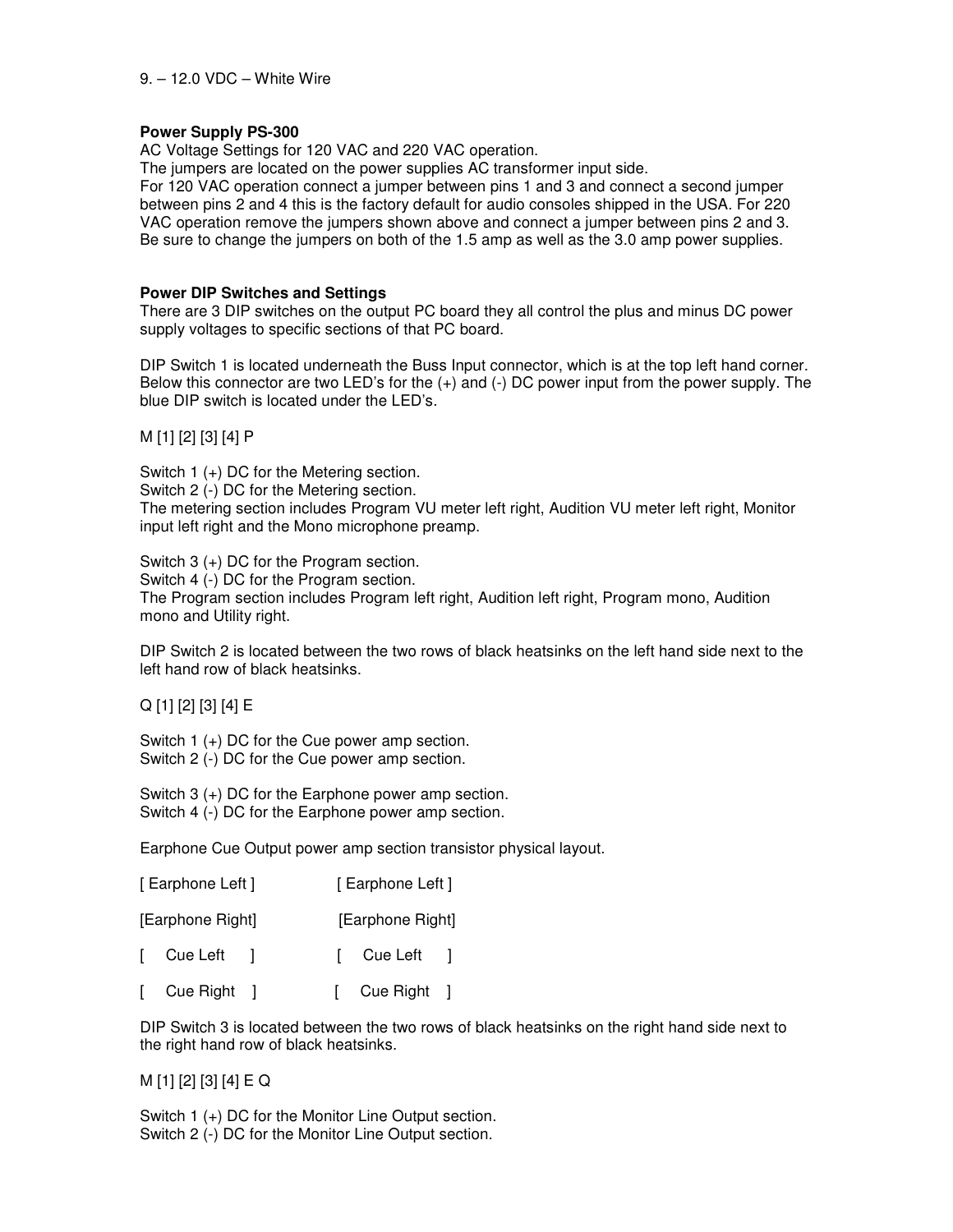## **Power Supply PS-300**

AC Voltage Settings for 120 VAC and 220 VAC operation.

The jumpers are located on the power supplies AC transformer input side.

For 120 VAC operation connect a jumper between pins 1 and 3 and connect a second jumper between pins 2 and 4 this is the factory default for audio consoles shipped in the USA. For 220 VAC operation remove the jumpers shown above and connect a jumper between pins 2 and 3. Be sure to change the jumpers on both of the 1.5 amp as well as the 3.0 amp power supplies.

## **Power DIP Switches and Settings**

There are 3 DIP switches on the output PC board they all control the plus and minus DC power supply voltages to specific sections of that PC board.

DIP Switch 1 is located underneath the Buss Input connector, which is at the top left hand corner. Below this connector are two LED's for the (+) and (-) DC power input from the power supply. The blue DIP switch is located under the LED's.

M [1] [2] [3] [4] P

Switch 1 (+) DC for the Metering section.

Switch 2 (-) DC for the Metering section.

The metering section includes Program VU meter left right, Audition VU meter left right, Monitor input left right and the Mono microphone preamp.

Switch 3 (+) DC for the Program section.

Switch 4 (-) DC for the Program section.

The Program section includes Program left right, Audition left right, Program mono, Audition mono and Utility right.

DIP Switch 2 is located between the two rows of black heatsinks on the left hand side next to the left hand row of black heatsinks.

Q [1] [2] [3] [4] E

Switch 1 (+) DC for the Cue power amp section. Switch 2 (-) DC for the Cue power amp section.

Switch 3 (+) DC for the Earphone power amp section. Switch 4 (-) DC for the Earphone power amp section.

Earphone Cue Output power amp section transistor physical layout.

| [Earphone Left]  |                            | [Earphone Left]             |  |
|------------------|----------------------------|-----------------------------|--|
| [Earphone Right] |                            | [Earphone Right]            |  |
|                  | $\lceil$ Cue Left $\lceil$ | $\lceil$ Cue Left $\lceil$  |  |
|                  | [ Cue Right ]              | $\lceil$ Cue Right $\lceil$ |  |

DIP Switch 3 is located between the two rows of black heatsinks on the right hand side next to the right hand row of black heatsinks.

M [1] [2] [3] [4] E Q

Switch 1 (+) DC for the Monitor Line Output section. Switch 2 (-) DC for the Monitor Line Output section.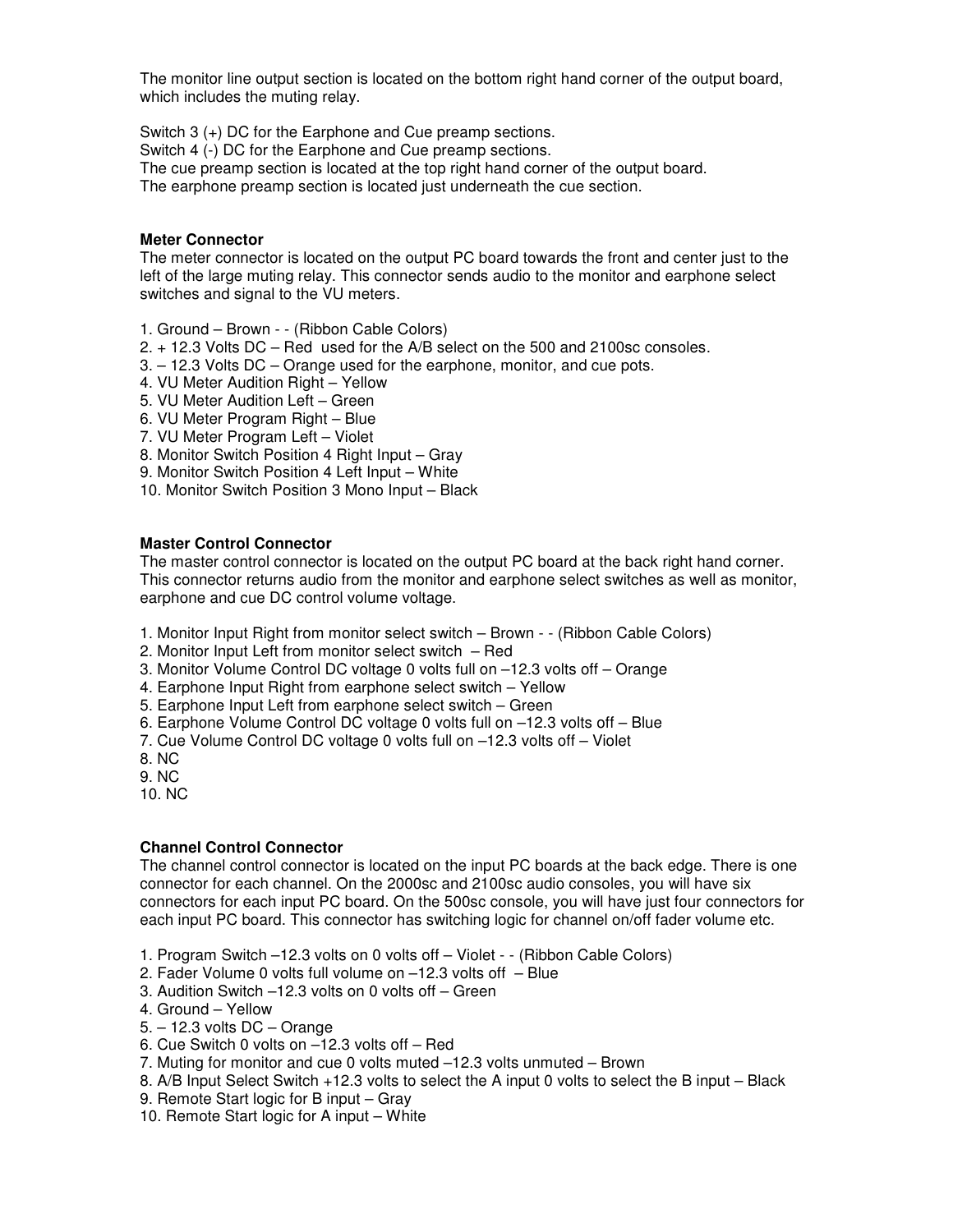The monitor line output section is located on the bottom right hand corner of the output board, which includes the muting relay.

Switch 3 (+) DC for the Earphone and Cue preamp sections. Switch 4 (-) DC for the Earphone and Cue preamp sections. The cue preamp section is located at the top right hand corner of the output board. The earphone preamp section is located just underneath the cue section.

#### **Meter Connector**

The meter connector is located on the output PC board towards the front and center just to the left of the large muting relay. This connector sends audio to the monitor and earphone select switches and signal to the VU meters.

1. Ground – Brown - - (Ribbon Cable Colors)

- 2. + 12.3 Volts DC Red used for the A/B select on the 500 and 2100sc consoles.
- 3. 12.3 Volts DC Orange used for the earphone, monitor, and cue pots.
- 4. VU Meter Audition Right Yellow
- 5. VU Meter Audition Left Green
- 6. VU Meter Program Right Blue
- 7. VU Meter Program Left Violet
- 8. Monitor Switch Position 4 Right Input Gray
- 9. Monitor Switch Position 4 Left Input White
- 10. Monitor Switch Position 3 Mono Input Black

#### **Master Control Connector**

The master control connector is located on the output PC board at the back right hand corner. This connector returns audio from the monitor and earphone select switches as well as monitor, earphone and cue DC control volume voltage.

- 1. Monitor Input Right from monitor select switch Brown - (Ribbon Cable Colors)
- 2. Monitor Input Left from monitor select switch Red
- 3. Monitor Volume Control DC voltage 0 volts full on –12.3 volts off Orange
- 4. Earphone Input Right from earphone select switch Yellow
- 5. Earphone Input Left from earphone select switch Green
- 6. Earphone Volume Control DC voltage 0 volts full on –12.3 volts off Blue
- 7. Cue Volume Control DC voltage 0 volts full on –12.3 volts off Violet
- 8. NC
- 9. NC

10. NC

#### **Channel Control Connector**

The channel control connector is located on the input PC boards at the back edge. There is one connector for each channel. On the 2000sc and 2100sc audio consoles, you will have six connectors for each input PC board. On the 500sc console, you will have just four connectors for each input PC board. This connector has switching logic for channel on/off fader volume etc.

- 1. Program Switch –12.3 volts on 0 volts off Violet - (Ribbon Cable Colors)
- 2. Fader Volume 0 volts full volume on –12.3 volts off Blue
- 3. Audition Switch –12.3 volts on 0 volts off Green
- 4. Ground Yellow
- 5. 12.3 volts DC Orange
- 6. Cue Switch 0 volts on –12.3 volts off Red
- 7. Muting for monitor and cue 0 volts muted –12.3 volts unmuted Brown
- 8. A/B Input Select Switch +12.3 volts to select the A input 0 volts to select the B input Black
- 9. Remote Start logic for B input Gray
- 10. Remote Start logic for A input White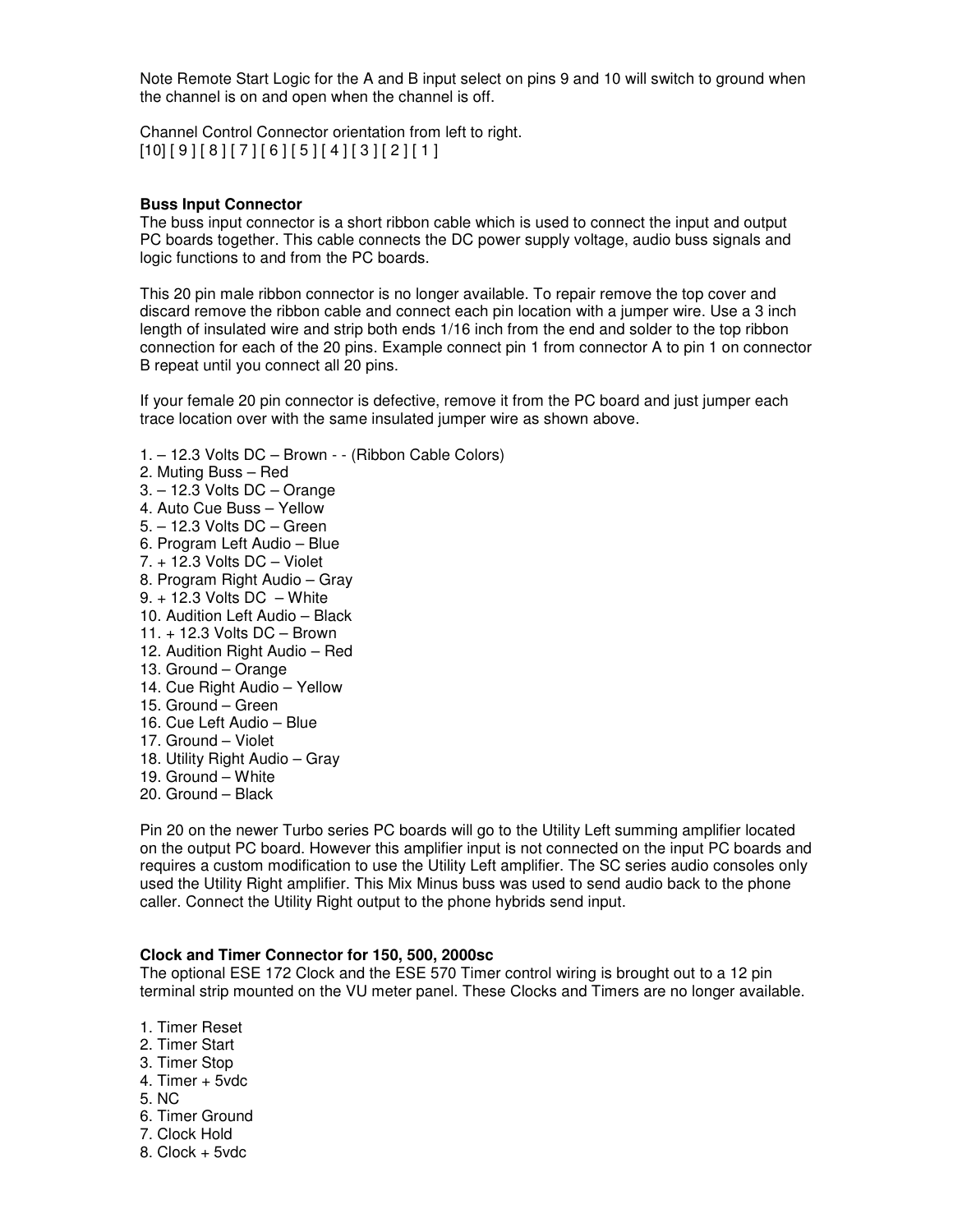Note Remote Start Logic for the A and B input select on pins 9 and 10 will switch to ground when the channel is on and open when the channel is off.

Channel Control Connector orientation from left to right.  $[10][9][8][7][6][5][4][3][2][1]$ 

#### **Buss Input Connector**

The buss input connector is a short ribbon cable which is used to connect the input and output PC boards together. This cable connects the DC power supply voltage, audio buss signals and logic functions to and from the PC boards.

This 20 pin male ribbon connector is no longer available. To repair remove the top cover and discard remove the ribbon cable and connect each pin location with a jumper wire. Use a 3 inch length of insulated wire and strip both ends 1/16 inch from the end and solder to the top ribbon connection for each of the 20 pins. Example connect pin 1 from connector A to pin 1 on connector B repeat until you connect all 20 pins.

If your female 20 pin connector is defective, remove it from the PC board and just jumper each trace location over with the same insulated jumper wire as shown above.

1. – 12.3 Volts DC – Brown - - (Ribbon Cable Colors) 2. Muting Buss – Red 3. – 12.3 Volts DC – Orange 4. Auto Cue Buss – Yellow 5. – 12.3 Volts DC – Green 6. Program Left Audio – Blue 7. + 12.3 Volts DC – Violet 8. Program Right Audio – Gray 9. + 12.3 Volts DC – White 10. Audition Left Audio – Black 11. + 12.3 Volts DC – Brown 12. Audition Right Audio – Red 13. Ground – Orange 14. Cue Right Audio – Yellow 15. Ground – Green 16. Cue Left Audio – Blue 17. Ground – Violet 18. Utility Right Audio – Gray 19. Ground – White 20. Ground – Black

Pin 20 on the newer Turbo series PC boards will go to the Utility Left summing amplifier located on the output PC board. However this amplifier input is not connected on the input PC boards and requires a custom modification to use the Utility Left amplifier. The SC series audio consoles only used the Utility Right amplifier. This Mix Minus buss was used to send audio back to the phone caller. Connect the Utility Right output to the phone hybrids send input.

#### **Clock and Timer Connector for 150, 500, 2000sc**

The optional ESE 172 Clock and the ESE 570 Timer control wiring is brought out to a 12 pin terminal strip mounted on the VU meter panel. These Clocks and Timers are no longer available.

- 1. Timer Reset
- 2. Timer Start
- 3. Timer Stop
- 4. Timer + 5vdc
- 5. NC
- 6. Timer Ground
- 7. Clock Hold
- 8. Clock + 5vdc